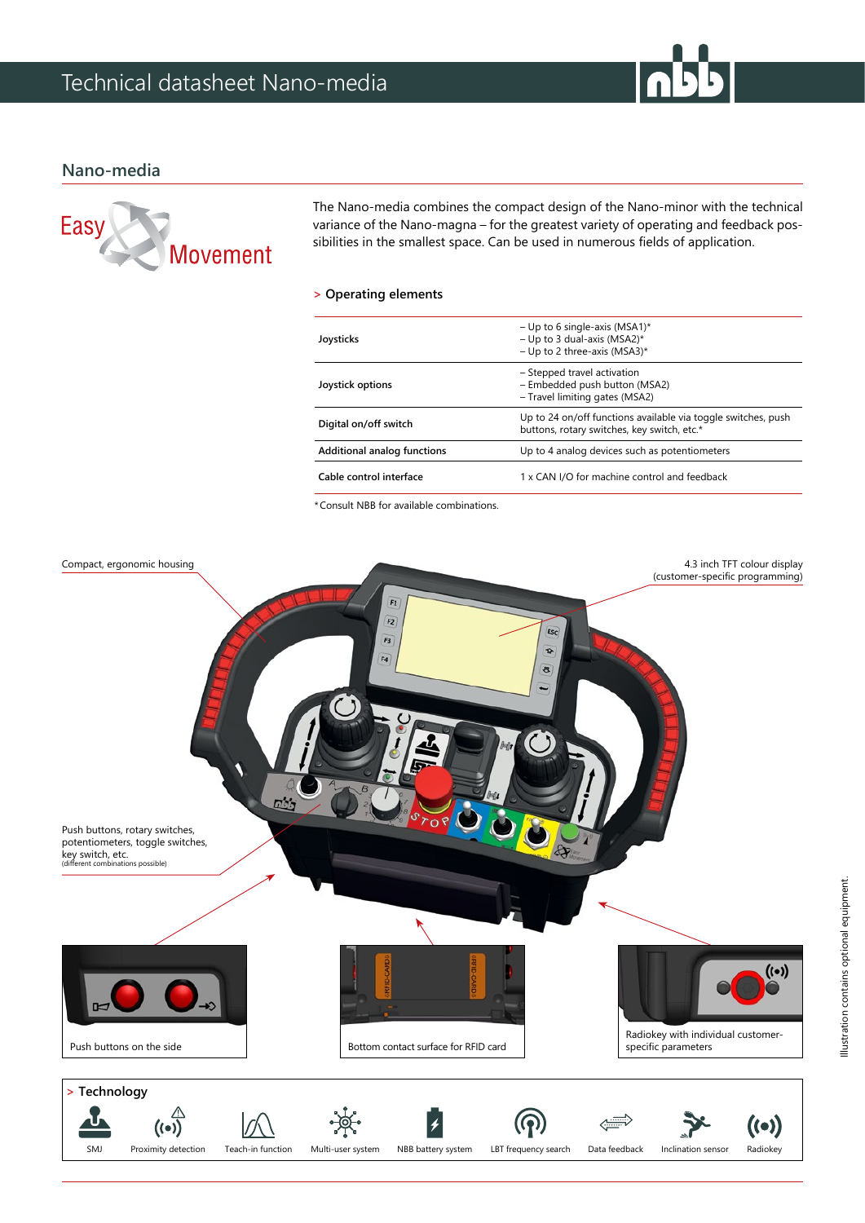## **Nano-media**



The Nano-media combines the compact design of the Nano-minor with the technical variance of the Nano-magna – for the greatest variety of operating and feedback possibilities in the smallest space. Can be used in numerous fields of application.

### **> Operating elements**

| Joysticks                          | - Up to 6 single-axis (MSA1)*<br>- Up to 3 dual-axis (MSA2)*<br>- Up to 2 three-axis (MSA3)*                 |
|------------------------------------|--------------------------------------------------------------------------------------------------------------|
| Joystick options                   | - Stepped travel activation<br>- Embedded push button (MSA2)<br>- Travel limiting gates (MSA2)               |
| Digital on/off switch              | Up to 24 on/off functions available via toggle switches, push<br>buttons, rotary switches, key switch, etc.* |
| <b>Additional analog functions</b> | Up to 4 analog devices such as potentiometers                                                                |
| Cable control interface            | 1 x CAN I/O for machine control and feedback                                                                 |
|                                    |                                                                                                              |

\*Consult NBB for available combinations.